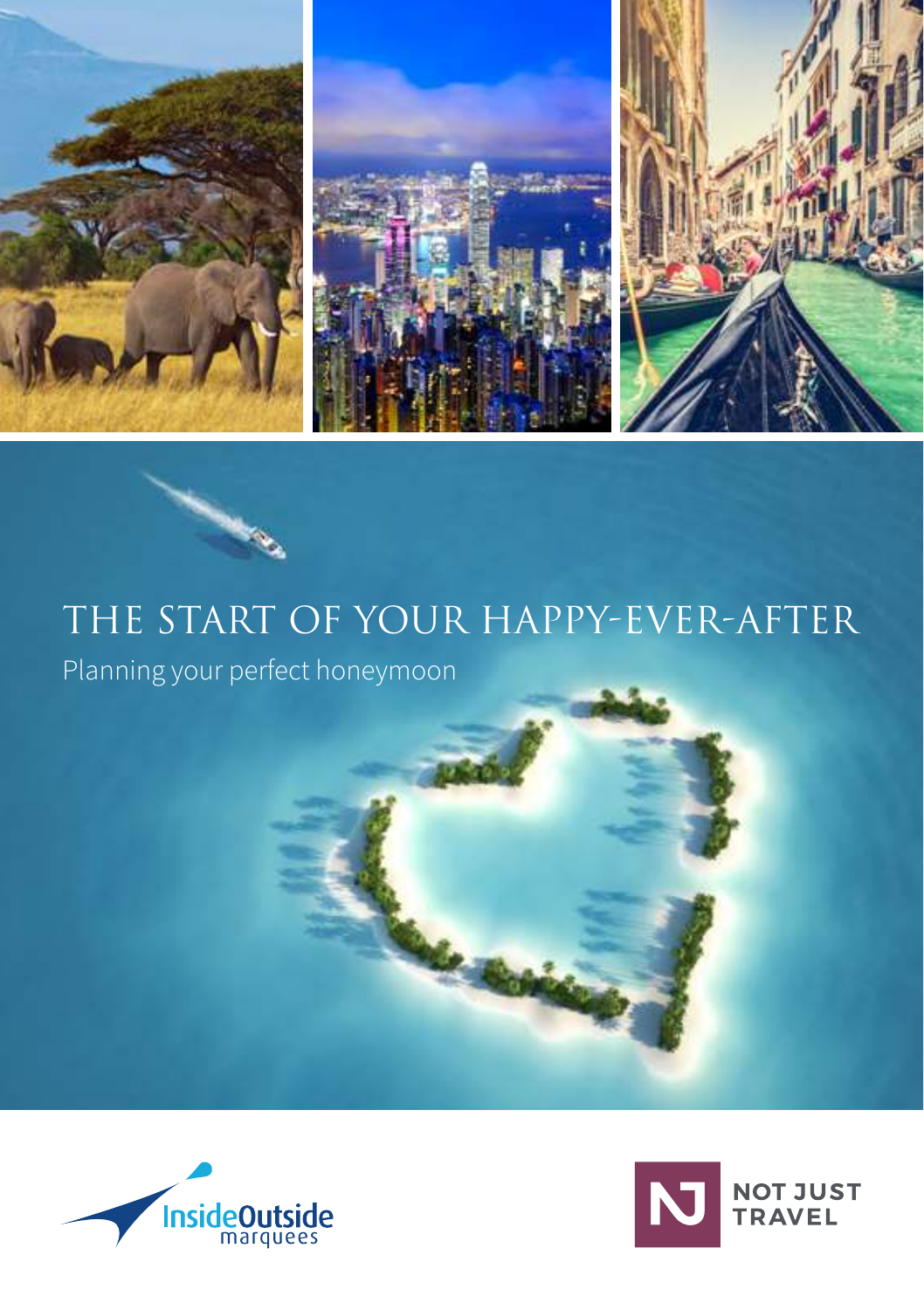

# THE START OF YOUR HAPPY-EVER-AFTER

Planning your perfect honeymoon



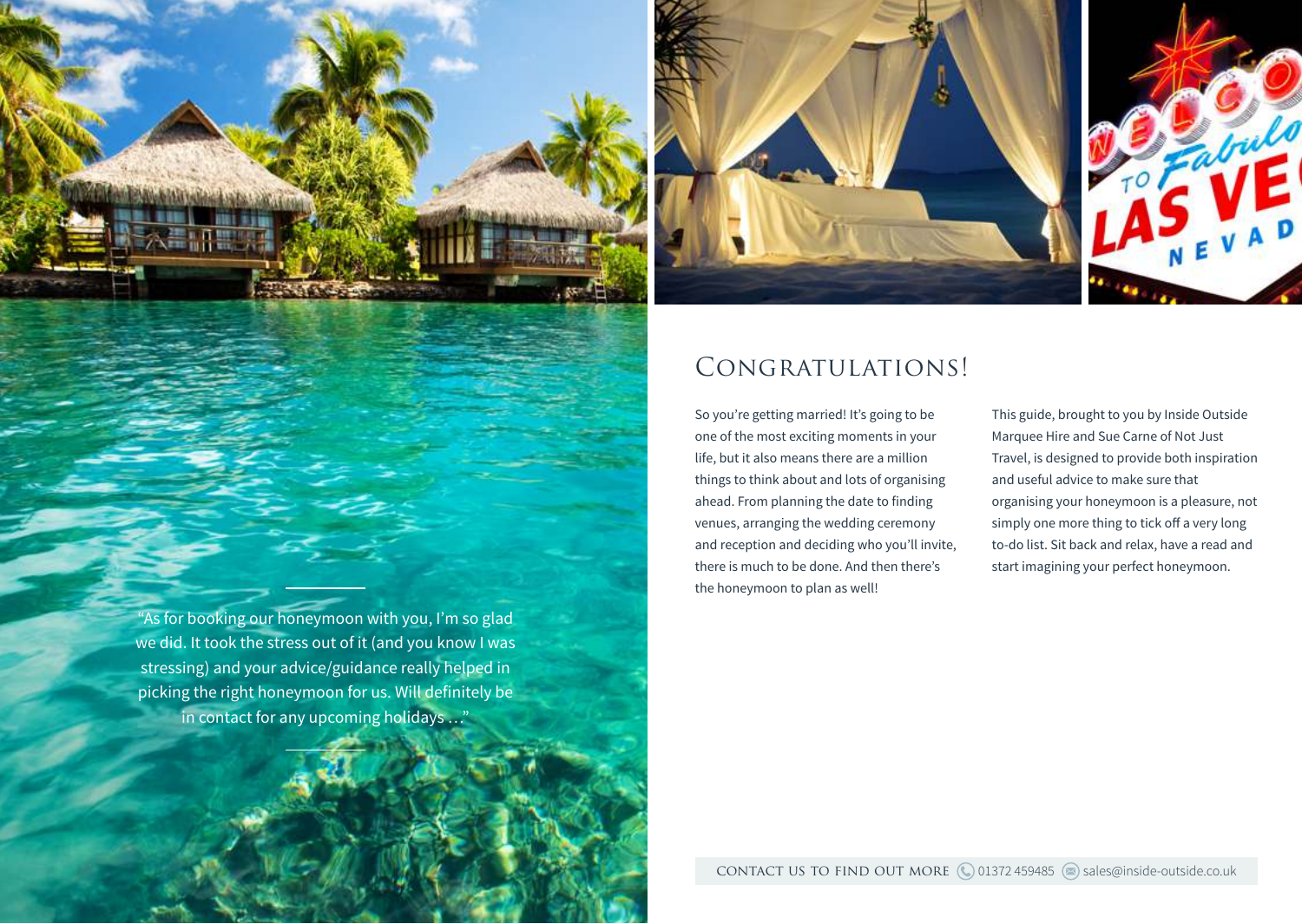

"As for booking our honeymoon with you, I'm so glad we did. It took the stress out of it (and you know I was stressing) and your advice/guidance really helped in picking the right honeymoon for us. Will definitely be in contact for any upcoming holidays …"



## CONGRATULATIONS!

So you're getting married! It's going to be one of the most exciting moments in your life, but it also means there are a million things to think about and lots of organising ahead. From planning the date to finding venues, arranging the wedding ceremony and reception and deciding who you'll invite, there is much to be done. And then there's the honeymoon to plan as well!

This guide, brought to you by Inside Outside Marquee Hire and Sue Carne of Not Just Travel, is designed to provide both inspiration and useful advice to make sure that organising your honeymoon is a pleasure, not simply one more thing to tick off a very long to-do list. Sit back and relax, have a read and start imagining your perfect honeymoon.

contact us to find out more (001372459485 sales@inside-outside.co.uk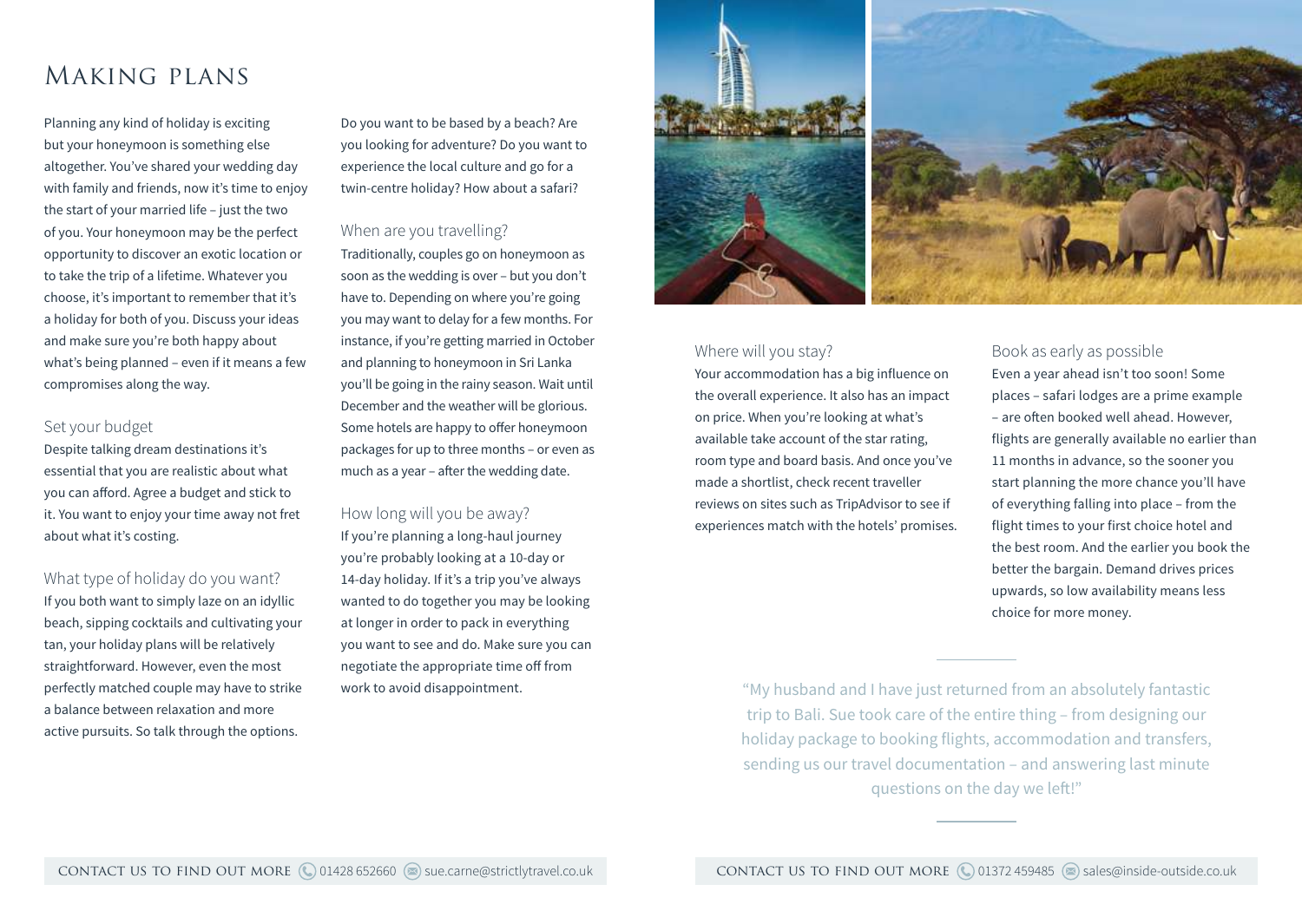## Making plans

Planning any kind of holiday is exciting but your honeymoon is something else altogether. You've shared your wedding day with family and friends, now it's time to enjoy the start of your married life – just the two of you. Your honeymoon may be the perfect opportunity to discover an exotic location or to take the trip of a lifetime. Whatever you choose, it's important to remember that it's a holiday for both of you. Discuss your ideas and make sure you're both happy about what's being planned – even if it means a few compromises along the way.

## Set your budget

Despite talking dream destinations it's essential that you are realistic about what you can afford. Agree a budget and stick to it. You want to enjoy your time away not fret about what it's costing.

What type of holiday do you want? If you both want to simply laze on an idyllic beach, sipping cocktails and cultivating your tan, your holiday plans will be relatively straightforward. However, even the most perfectly matched couple may have to strike a balance between relaxation and more active pursuits. So talk through the options.

Do you want to be based by a beach? Are you looking for adventure? Do you want to experience the local culture and go for a twin-centre holiday? How about a safari?

#### When are you travelling?

Traditionally, couples go on honeymoon as soon as the wedding is over – but you don't have to. Depending on where you're going you may want to delay for a few months. For instance, if you're getting married in October and planning to honeymoon in Sri Lanka you'll be going in the rainy season. Wait until December and the weather will be glorious. Some hotels are happy to offer honeymoon packages for up to three months – or even as much as a year – after the wedding date.

### How long will you be away?

If you're planning a long-haul journey you're probably looking at a 10-day or 14-day holiday. If it's a trip you've always wanted to do together you may be looking at longer in order to pack in everything you want to see and do. Make sure you can negotiate the appropriate time off from



### Where will you stay?

Your accommodation has a big influence on the overall experience. It also has an impact on price. When you're looking at what's available take account of the star rating, room type and board basis. And once you've made a shortlist, check recent traveller reviews on sites such as TripAdvisor to see if experiences match with the hotels' promises.

### Book as early as possible

Even a year ahead isn't too soon! Some places – safari lodges are a prime example – are often booked well ahead. However, flights are generally available no earlier than 11 months in advance, so the sooner you start planning the more chance you'll have of everything falling into place – from the flight times to your first choice hotel and the best room. And the earlier you book the better the bargain. Demand drives prices upwards, so low availability means less choice for more money.

work to avoid disappointment. The same of the same work to avoid disappointment. trip to Bali. Sue took care of the entire thing – from designing our holiday package to booking flights, accommodation and transfers, sending us our travel documentation – and answering last minute questions on the day we left!"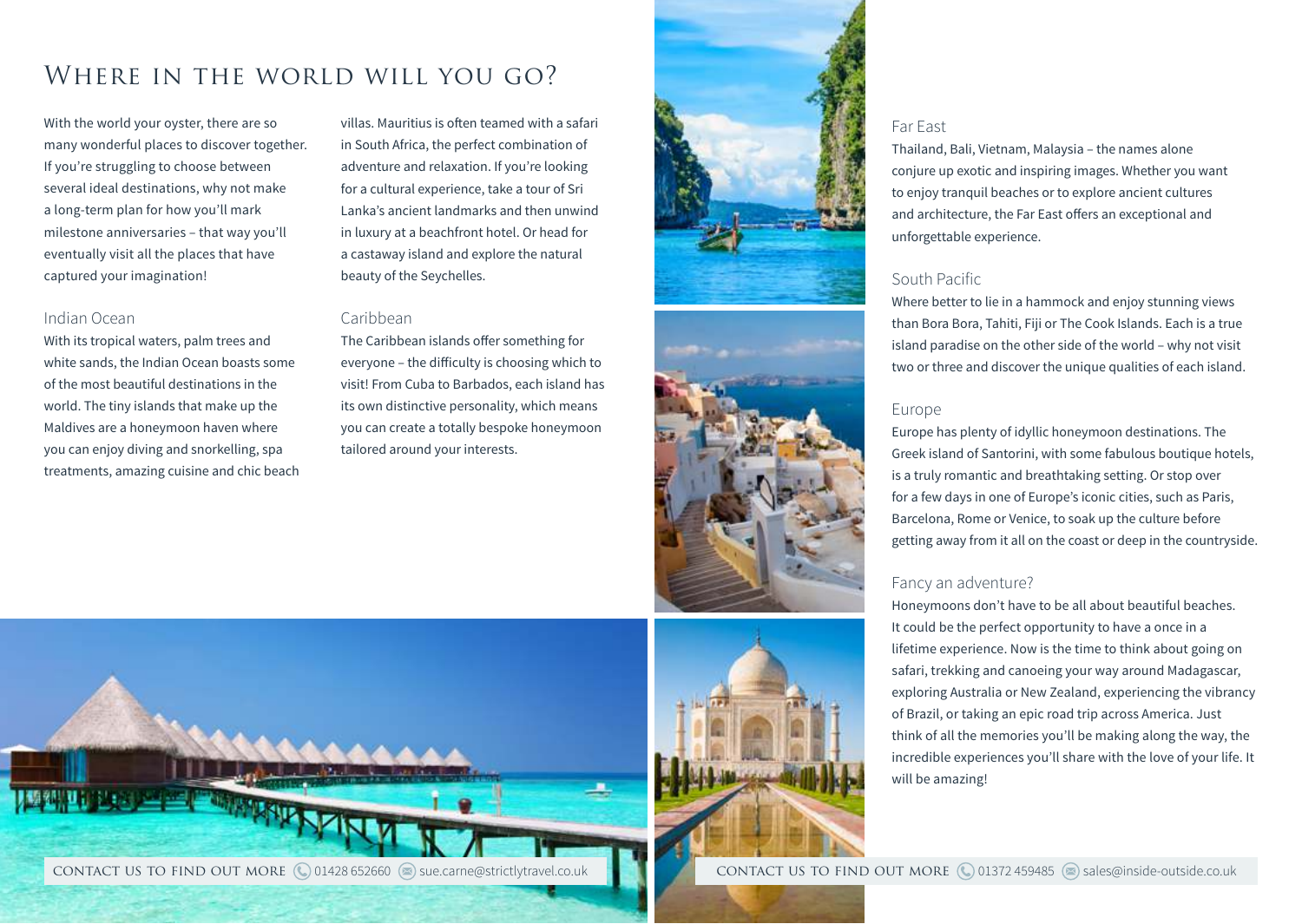# WHERE IN THE WORLD WILL YOU GO?

With the world your oyster, there are so many wonderful places to discover together. If you're struggling to choose between several ideal destinations, why not make a long-term plan for how you'll mark milestone anniversaries – that way you'll eventually visit all the places that have captured your imagination!

### Indian Ocean

With its tropical waters, palm trees and white sands, the Indian Ocean boasts some of the most beautiful destinations in the world. The tiny islands that make up the Maldives are a honeymoon haven where you can enjoy diving and snorkelling, spa treatments, amazing cuisine and chic beach villas. Mauritius is often teamed with a safari in South Africa, the perfect combination of adventure and relaxation. If you're looking for a cultural experience, take a tour of Sri Lanka's ancient landmarks and then unwind in luxury at a beachfront hotel. Or head for a castaway island and explore the natural beauty of the Seychelles.

### Caribbean

The Caribbean islands offer something for everyone – the difficulty is choosing which to visit! From Cuba to Barbados, each island has its own distinctive personality, which means you can create a totally bespoke honeymoon tailored around your interests.









Thailand, Bali, Vietnam, Malaysia – the names alone conjure up exotic and inspiring images. Whether you want to enjoy tranquil beaches or to explore ancient cultures and architecture, the Far East offers an exceptional and

is a truly romantic and breathtaking setting. Or stop over for a few days in one of Europe's iconic cities, such as Paris, Barcelona, Rome or Venice, to soak up the culture before getting away from it all on the coast or deep in the countryside.

## Fancy an adventure?

Far East

unforgettable experience.

South Pacific

Honeymoons don't have to be all about beautiful beaches. It could be the perfect opportunity to have a once in a lifetime experience. Now is the time to think about going on safari, trekking and canoeing your way around Madagascar, exploring Australia or New Zealand, experiencing the vibrancy of Brazil, or taking an epic road trip across America. Just think of all the memories you'll be making along the way, the incredible experiences you'll share with the love of your life. It will be amazing!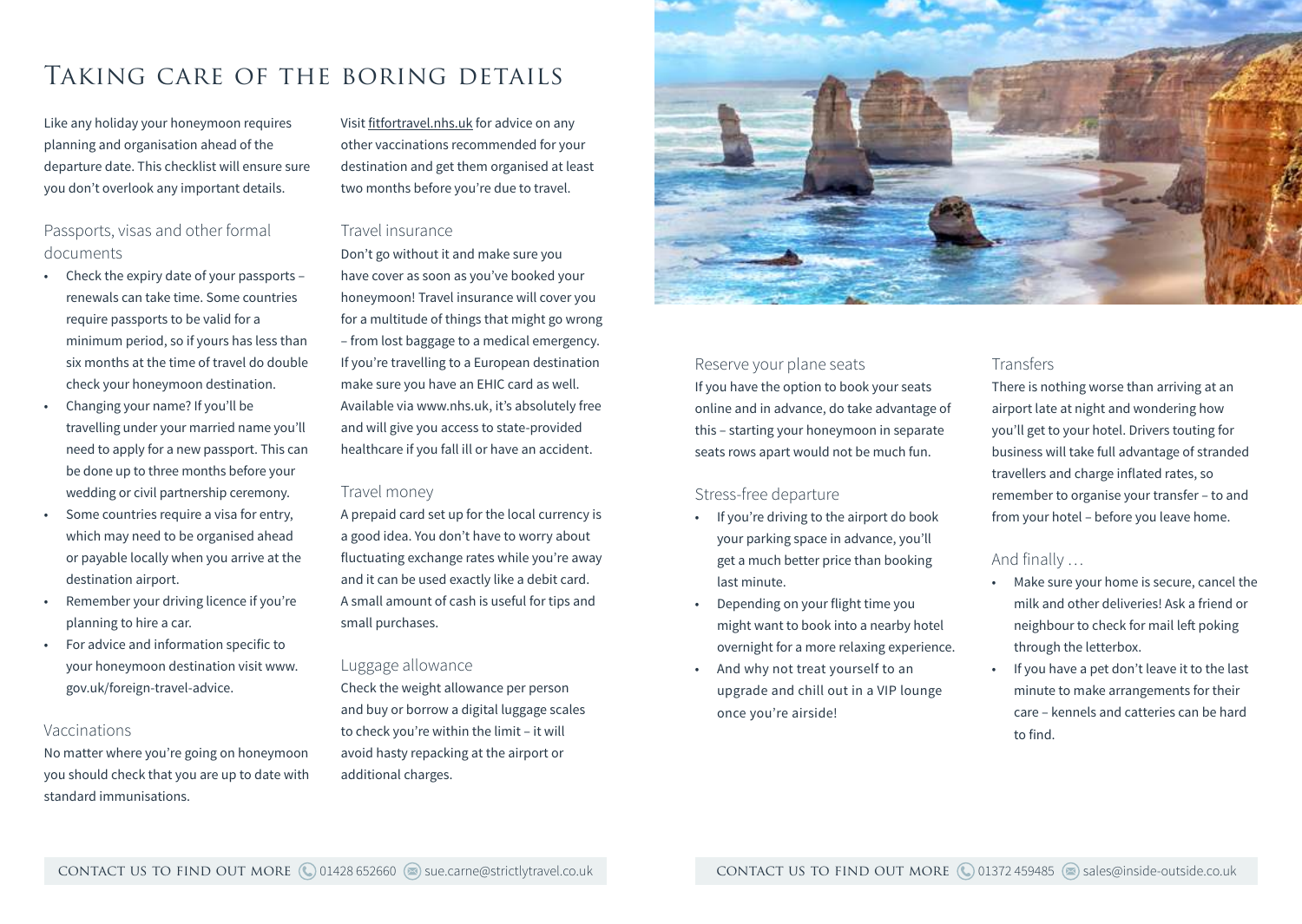# Taking care of the boring details

Like any holiday your honeymoon requires planning and organisation ahead of the departure date. This checklist will ensure sure you don't overlook any important details.

## Passports, visas and other formal documents

- Check the expiry date of your passports renewals can take time. Some countries require passports to be valid for a minimum period, so if yours has less than six months at the time of travel do double check your honeymoon destination.
- Changing your name? If you'll be travelling under your married name you'll need to apply for a new passport. This can be done up to three months before your wedding or civil partnership ceremony.
- Some countries require a visa for entry. which may need to be organised ahead or payable locally when you arrive at the destination airport.
- Remember your driving licence if you're planning to hire a car.
- For advice and information specific to your honeymoon destination visit www. gov.uk/foreign-travel-advice.

#### Vaccinations

No matter where you're going on honeymoon you should check that you are up to date with standard immunisations.

Visit fitfortravel.nhs.uk for advice on any other vaccinations recommended for your destination and get them organised at least two months before you're due to travel.

### Travel insurance

Don't go without it and make sure you have cover as soon as you've booked your honeymoon! Travel insurance will cover you for a multitude of things that might go wrong – from lost baggage to a medical emergency. If you're travelling to a European destination make sure you have an EHIC card as well. Available via www.nhs.uk, it's absolutely free and will give you access to state-provided healthcare if you fall ill or have an accident.

### Travel money

A prepaid card set up for the local currency is a good idea. You don't have to worry about fluctuating exchange rates while you're away and it can be used exactly like a debit card. A small amount of cash is useful for tips and small purchases.

### Luggage allowance

Check the weight allowance per person and buy or borrow a digital luggage scales to check you're within the limit – it will avoid hasty repacking at the airport or additional charges.



### Reserve your plane seats

If you have the option to book your seats online and in advance, do take advantage of this – starting your honeymoon in separate seats rows apart would not be much fun.

### Stress-free departure

- If you're driving to the airport do book your parking space in advance, you'll get a much better price than booking last minute.
- Depending on your flight time you might want to book into a nearby hotel overnight for a more relaxing experience.
- And why not treat yourself to an upgrade and chill out in a VIP lounge once you're airside!

## **Transfers**

There is nothing worse than arriving at an airport late at night and wondering how you'll get to your hotel. Drivers touting for business will take full advantage of stranded travellers and charge inflated rates, so remember to organise your transfer – to and from your hotel – before you leave home.

## And finally …

- Make sure your home is secure, cancel the milk and other deliveries! Ask a friend or neighbour to check for mail left poking through the letterbox.
- If you have a pet don't leave it to the last minute to make arrangements for their care – kennels and catteries can be hard to find.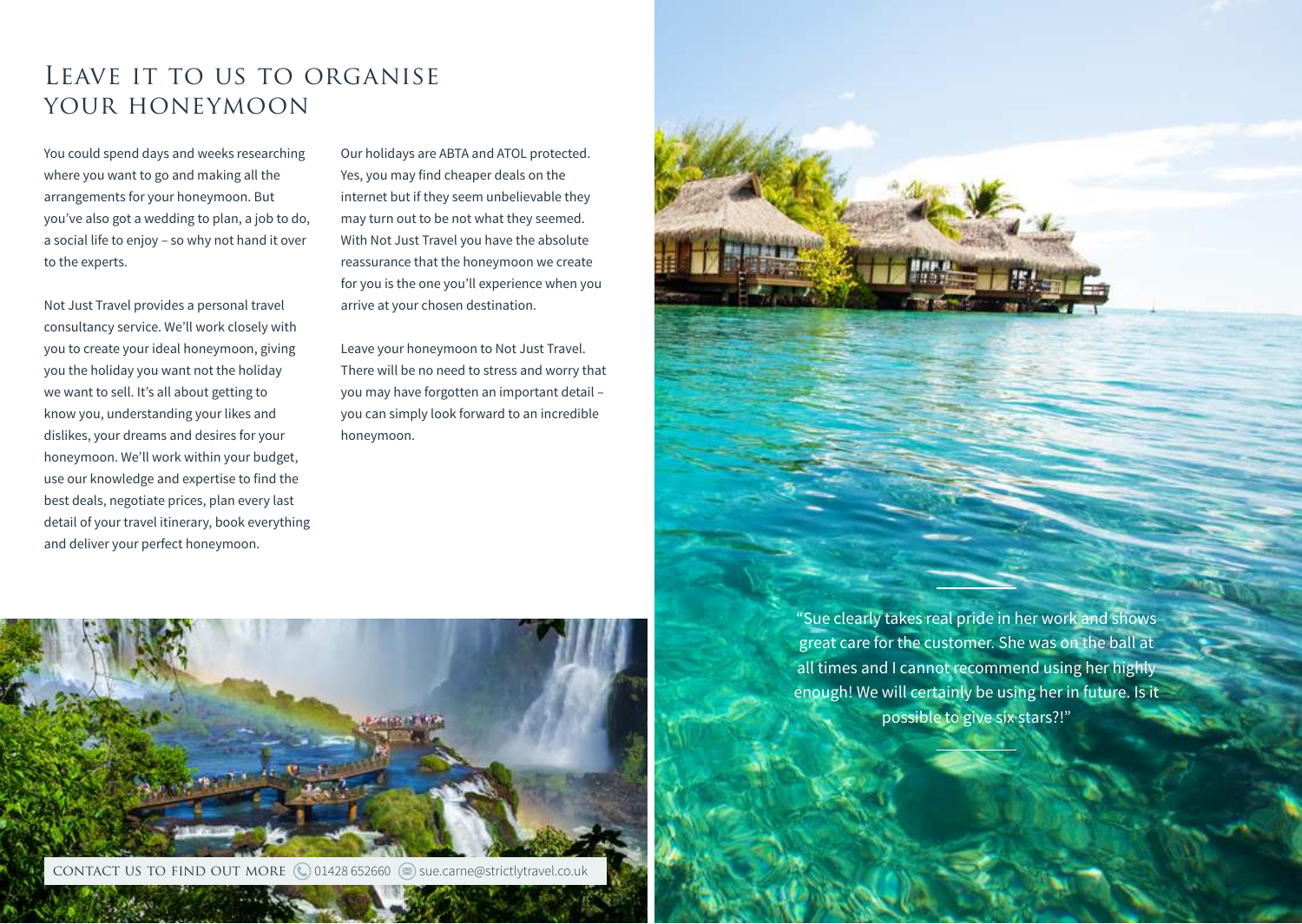## LEAVE IT TO US TO ORGANISE YOUR HONEYMOON

You could spend days and weeks researching where you want to go and making all the arrangements for your honeymoon. But you've also got a wedding to plan, a job to do, a social life to enjoy – so why not hand it over to the experts.

Not Just Travel provides a personal travel consultancy service. We'll work closely with you to create your ideal honeymoon, giving you the holiday you want not the holiday we want to sell. It's all about getting to know you, understanding your likes and dislikes, your dreams and desires for your honeymoon. We'll work within your budget, use our knowledge and expertise to find the best deals, negotiate prices, plan every last detail of your travel itinerary, book everything and deliver your perfect honeymoon.

Our holidays are ABTA and ATOL protected. Yes, you may find cheaper deals on the internet but if they seem unbelievable they may turn out to be not what they seemed. With Not Just Travel you have the absolute reassurance that the honeymoon we create for you is the one you'll experience when you arrive at your chosen destination.

Leave your honeymoon to Not Just Travel. There will be no need to stress and worry that you may have forgotten an important detail – you can simply look forward to an incredible honeymoon.



"Sue clearly takes real pride in her work and shows great care for the customer. She was on the ball at all times and I cannot recommend using her highly enough! We will certainly be using her in future. Is it possible to give six stars?!"

 $\mathcal{C}$  as  $\mathcal{C}$  and  $\mathcal{C}$  and  $\mathcal{C}$  and  $\mathcal{C}$  satisfies and  $\mathcal{C}$